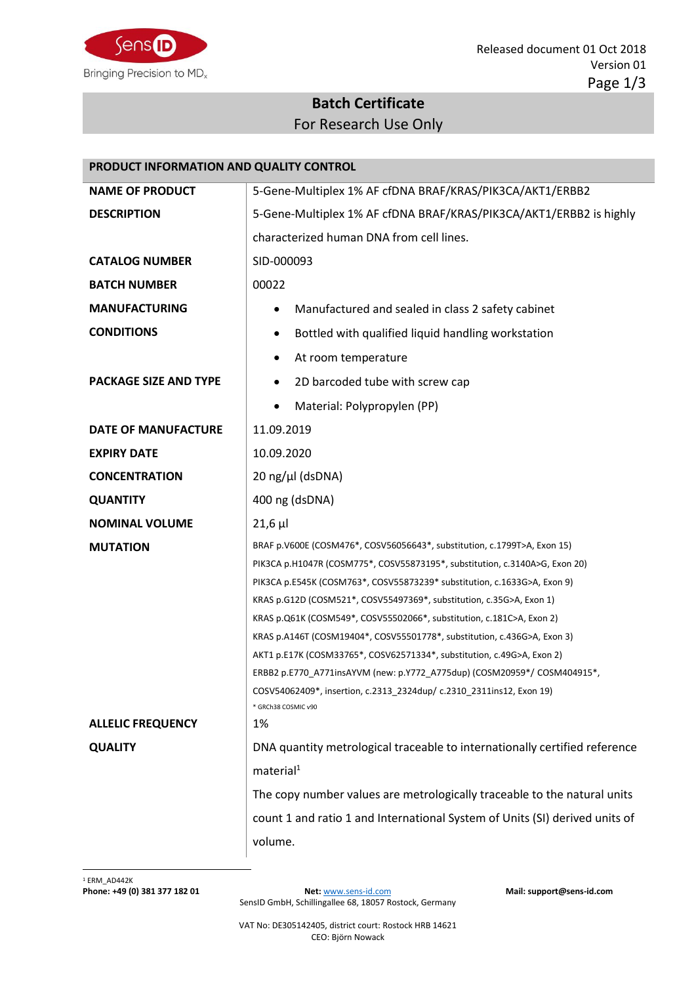

## **Batch Certificate** For Research Use Only

| PRODUCT INFORMATION AND QUALITY CONTROL |                                                                                             |  |  |
|-----------------------------------------|---------------------------------------------------------------------------------------------|--|--|
| <b>NAME OF PRODUCT</b>                  | 5-Gene-Multiplex 1% AF cfDNA BRAF/KRAS/PIK3CA/AKT1/ERBB2                                    |  |  |
| <b>DESCRIPTION</b>                      | 5-Gene-Multiplex 1% AF cfDNA BRAF/KRAS/PIK3CA/AKT1/ERBB2 is highly                          |  |  |
|                                         | characterized human DNA from cell lines.                                                    |  |  |
| <b>CATALOG NUMBER</b>                   | SID-000093                                                                                  |  |  |
| <b>BATCH NUMBER</b>                     | 00022                                                                                       |  |  |
| <b>MANUFACTURING</b>                    | Manufactured and sealed in class 2 safety cabinet                                           |  |  |
| <b>CONDITIONS</b>                       | Bottled with qualified liquid handling workstation                                          |  |  |
|                                         | At room temperature<br>٠                                                                    |  |  |
| <b>PACKAGE SIZE AND TYPE</b>            | 2D barcoded tube with screw cap<br>٠                                                        |  |  |
|                                         | Material: Polypropylen (PP)<br>$\bullet$                                                    |  |  |
| <b>DATE OF MANUFACTURE</b>              | 11.09.2019                                                                                  |  |  |
| <b>EXPIRY DATE</b>                      | 10.09.2020                                                                                  |  |  |
| <b>CONCENTRATION</b>                    | $20 \text{ ng/µl}$ (dsDNA)                                                                  |  |  |
| <b>QUANTITY</b>                         | 400 ng (dsDNA)                                                                              |  |  |
| <b>NOMINAL VOLUME</b>                   | $21,6$ µ                                                                                    |  |  |
| <b>MUTATION</b>                         | BRAF p.V600E (COSM476*, COSV56056643*, substitution, c.1799T>A, Exon 15)                    |  |  |
|                                         | PIK3CA p.H1047R (COSM775*, COSV55873195*, substitution, c.3140A>G, Exon 20)                 |  |  |
|                                         | PIK3CA p.E545K (COSM763*, COSV55873239* substitution, c.1633G>A, Exon 9)                    |  |  |
|                                         | KRAS p.G12D (COSM521*, COSV55497369*, substitution, c.35G>A, Exon 1)                        |  |  |
|                                         | KRAS p.Q61K (COSM549*, COSV55502066*, substitution, c.181C>A, Exon 2)                       |  |  |
|                                         | KRAS p.A146T (COSM19404*, COSV55501778*, substitution, c.436G>A, Exon 3)                    |  |  |
|                                         | AKT1 p.E17K (COSM33765*, COSV62571334*, substitution, c.49G>A, Exon 2)                      |  |  |
|                                         | ERBB2 p.E770_A771insAYVM (new: p.Y772_A775dup) (COSM20959*/ COSM404915*,                    |  |  |
|                                         | COSV54062409*, insertion, c.2313_2324dup/ c.2310_2311ins12, Exon 19)<br>* GRCh38 COSMIC v90 |  |  |
| <b>ALLELIC FREQUENCY</b>                | 1%                                                                                          |  |  |
| <b>QUALITY</b>                          | DNA quantity metrological traceable to internationally certified reference                  |  |  |
|                                         | material <sup>1</sup>                                                                       |  |  |
|                                         | The copy number values are metrologically traceable to the natural units                    |  |  |
|                                         | count 1 and ratio 1 and International System of Units (SI) derived units of                 |  |  |
|                                         | volume.                                                                                     |  |  |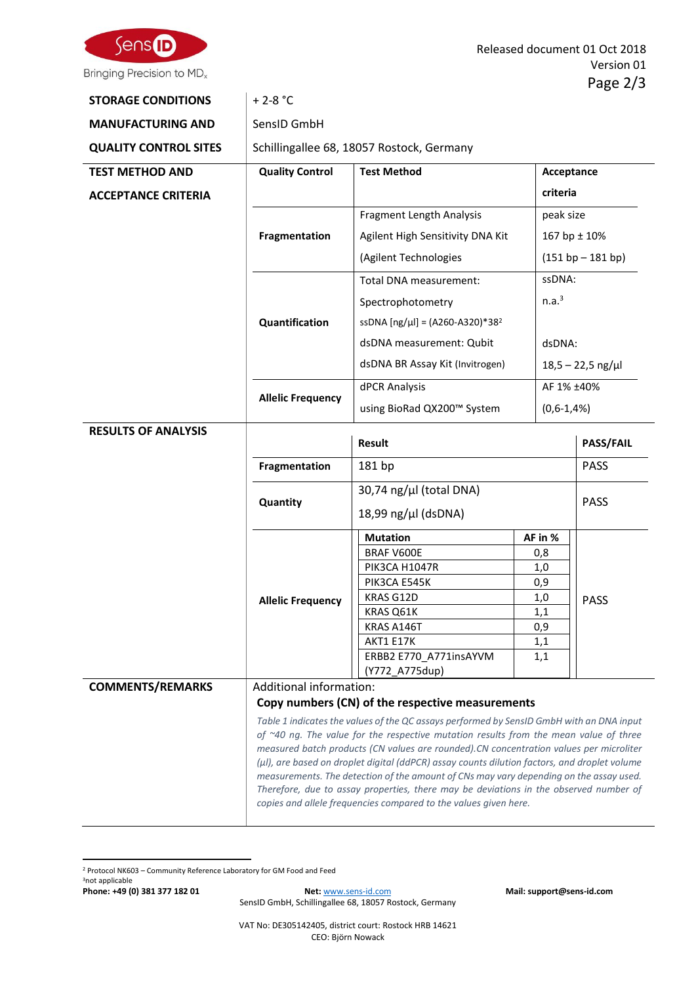

| <b>STORAGE CONDITIONS</b>    | $+ 2 - 8 °C$             |                                                  |            |                     |  |
|------------------------------|--------------------------|--------------------------------------------------|------------|---------------------|--|
| <b>MANUFACTURING AND</b>     | SensID GmbH              |                                                  |            |                     |  |
| <b>QUALITY CONTROL SITES</b> |                          | Schillingallee 68, 18057 Rostock, Germany        |            |                     |  |
| <b>TEST METHOD AND</b>       | <b>Quality Control</b>   | <b>Test Method</b>                               |            | Acceptance          |  |
| <b>ACCEPTANCE CRITERIA</b>   | criteria                 |                                                  |            |                     |  |
|                              |                          | Fragment Length Analysis                         |            | peak size           |  |
|                              | Fragmentation            | Agilent High Sensitivity DNA Kit                 |            | 167 bp $\pm$ 10%    |  |
|                              |                          | (Agilent Technologies                            |            | $(151 bp - 181 bp)$ |  |
|                              |                          | Total DNA measurement:                           |            | ssDNA:              |  |
|                              |                          |                                                  |            | n.a. <sup>3</sup>   |  |
|                              |                          | Spectrophotometry                                |            |                     |  |
|                              | Quantification           | ssDNA [ng/µl] = (A260-A320)*38 <sup>2</sup>      |            |                     |  |
|                              |                          | dsDNA measurement: Qubit                         |            | dsDNA:              |  |
|                              |                          | dsDNA BR Assay Kit (Invitrogen)                  |            | $18,5 - 22,5$ ng/µl |  |
|                              | <b>Allelic Frequency</b> | dPCR Analysis                                    |            | AF 1% ±40%          |  |
|                              |                          | using BioRad QX200™ System                       |            | $(0,6-1,4%)$        |  |
| <b>RESULTS OF ANALYSIS</b>   |                          | <b>Result</b>                                    |            | <b>PASS/FAIL</b>    |  |
|                              | Fragmentation            | 181 bp                                           |            | <b>PASS</b>         |  |
|                              |                          | 30,74 ng/µl (total DNA)                          |            |                     |  |
|                              | Quantity                 | 18,99 $\frac{mg}{\mu}$ (dsDNA)                   |            | <b>PASS</b>         |  |
|                              |                          | <b>Mutation</b>                                  | AF in %    |                     |  |
|                              |                          | BRAF V600E                                       | 0,8        |                     |  |
|                              |                          | PIK3CA H1047R<br>PIK3CA E545K                    | 1,0<br>0,9 |                     |  |
|                              | <b>Allelic Frequency</b> | KRAS G12D                                        | 1,0        |                     |  |
|                              |                          | KRAS Q61K                                        | 1,1        | <b>PASS</b>         |  |
|                              |                          | KRAS A146T                                       | 0,9        |                     |  |
|                              |                          | AKT1 E17K                                        | 1,1        |                     |  |
|                              |                          | ERBB2 E770_A771insAYVM                           | 1,1        |                     |  |
|                              |                          |                                                  |            |                     |  |
|                              |                          | (Y772 A775dup)                                   |            |                     |  |
| <b>COMMENTS/REMARKS</b>      | Additional information:  | Copy numbers (CN) of the respective measurements |            |                     |  |

<sup>2</sup> Protocol NK603 – Community Reference Laboratory for GM Food and Feed

3not applicable

**Phone: +49 (0) 381 377 182 01 Net:** [www.sens-id.com](http://www.sens-id.com/) **Mail: support@sens-id.com** SensID GmbH, Schillingallee 68, 18057 Rostock, Germany